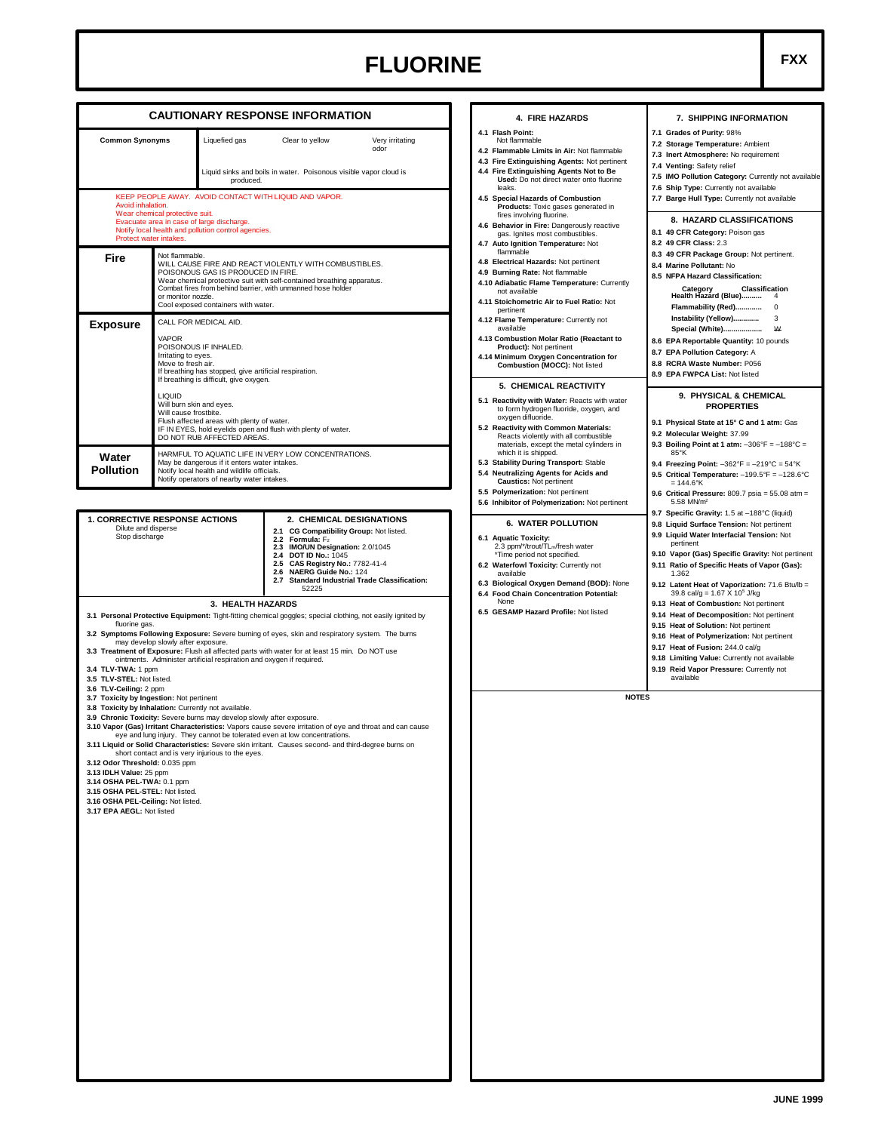## **FLUORINE FXX**

|                                                                                                                                                                                                                                                                                          |                                                                                                                                                                                                                                                                                                                                                                                                                                     |                                                                                                  | <b>CAUTIONARY RESPONSE INFORMATION</b>                                                                                                                                                                                                                                                                          |  |  |  |
|------------------------------------------------------------------------------------------------------------------------------------------------------------------------------------------------------------------------------------------------------------------------------------------|-------------------------------------------------------------------------------------------------------------------------------------------------------------------------------------------------------------------------------------------------------------------------------------------------------------------------------------------------------------------------------------------------------------------------------------|--------------------------------------------------------------------------------------------------|-----------------------------------------------------------------------------------------------------------------------------------------------------------------------------------------------------------------------------------------------------------------------------------------------------------------|--|--|--|
| <b>Common Synonyms</b>                                                                                                                                                                                                                                                                   |                                                                                                                                                                                                                                                                                                                                                                                                                                     | Liquefied gas                                                                                    | Clear to yellow<br>Very irritating<br>odor                                                                                                                                                                                                                                                                      |  |  |  |
| produced.                                                                                                                                                                                                                                                                                |                                                                                                                                                                                                                                                                                                                                                                                                                                     |                                                                                                  | Liquid sinks and boils in water. Poisonous visible vapor cloud is                                                                                                                                                                                                                                               |  |  |  |
| Avoid inhalation.<br>Protect water intakes.                                                                                                                                                                                                                                              | Wear chemical protective suit.                                                                                                                                                                                                                                                                                                                                                                                                      | Evacuate area in case of large discharge.<br>Notify local health and pollution control agencies. | KEEP PEOPLE AWAY. AVOID CONTACT WITH LIQUID AND VAPOR.                                                                                                                                                                                                                                                          |  |  |  |
| Fire                                                                                                                                                                                                                                                                                     | Not flammable.<br>WILL CAUSE FIRE AND REACT VIOLENTLY WITH COMBUSTIBLES.<br>POISONOUS GAS IS PRODUCED IN FIRE.<br>Wear chemical protective suit with self-contained breathing apparatus.<br>Combat fires from behind barrier, with unmanned hose holder<br>or monitor nozzle.<br>Cool exposed containers with water.                                                                                                                |                                                                                                  |                                                                                                                                                                                                                                                                                                                 |  |  |  |
| Exposure                                                                                                                                                                                                                                                                                 | CALL FOR MEDICAL AID.<br><b>VAPOR</b><br>POISONOUS IF INHALED.<br>Irritating to eyes.<br>Move to fresh air.<br>If breathing has stopped, give artificial respiration.<br>If breathing is difficult, give oxygen.<br><b>LIQUID</b><br>Will burn skin and eyes.<br>Will cause frostbite.<br>Flush affected areas with plenty of water.<br>IF IN EYES, hold eyelids open and flush with plenty of water.<br>DO NOT RUB AFFECTED AREAS. |                                                                                                  |                                                                                                                                                                                                                                                                                                                 |  |  |  |
| Water<br>Pollution                                                                                                                                                                                                                                                                       | HARMFUL TO AQUATIC LIFE IN VERY LOW CONCENTRATIONS.<br>May be dangerous if it enters water intakes.<br>Notify local health and wildlife officials.<br>Notify operators of nearby water intakes.                                                                                                                                                                                                                                     |                                                                                                  |                                                                                                                                                                                                                                                                                                                 |  |  |  |
| <b>1. CORRECTIVE RESPONSE ACTIONS</b><br>Dilute and disperse<br>Stop discharge                                                                                                                                                                                                           |                                                                                                                                                                                                                                                                                                                                                                                                                                     |                                                                                                  | 2. CHEMICAL DESIGNATIONS<br>2.1 CG Compatibility Group: Not listed.<br>2.2 Formula: F <sub>2</sub><br>2.3 IMO/UN Designation: 2.0/1045<br>2.4 DOT ID No.: 1045<br>2.5 CAS Registry No.: 7782-41-4<br>NAERG Guide No.: 124<br>2.6<br>2.7 Standard Industrial Trade Classification:<br>52225                      |  |  |  |
|                                                                                                                                                                                                                                                                                          |                                                                                                                                                                                                                                                                                                                                                                                                                                     | 3. HEALTH HAZARDS                                                                                |                                                                                                                                                                                                                                                                                                                 |  |  |  |
| fluorine gas.<br>3.4 TLV-TWA: 1 ppm<br>3.5 TLV-STEL: Not listed.                                                                                                                                                                                                                         | may develop slowly after exposure.                                                                                                                                                                                                                                                                                                                                                                                                  | ointments. Administer artificial respiration and oxygen if required.                             | 3.1 Personal Protective Equipment: Tight-fitting chemical goggles; special clothing, not easily ignited by<br>3.2 Symptoms Following Exposure: Severe burning of eyes, skin and respiratory system. The burns<br>3.3 Treatment of Exposure: Flush all affected parts with water for at least 15 min. Do NOT use |  |  |  |
| 3.6 TLV-Ceiling: 2 ppm<br>3.7 Toxicity by Ingestion: Not pertinent<br>3.8 Toxicity by Inhalation: Currently not available.<br>3.9 Chronic Toxicity: Severe burns may develop slowly after exposure.<br>3.12 Odor Threshold: 0.035 ppm<br>3.13 IDLH Value: 25 ppm<br><b>ALCOHADEL THE</b> |                                                                                                                                                                                                                                                                                                                                                                                                                                     | short contact and is very injurious to the eyes.                                                 | 3.10 Vapor (Gas) Irritant Characteristics: Vapors cause severe irritation of eye and throat and can cause<br>eye and lung injury. They cannot be tolerated even at low concentrations.<br>3.11 Liquid or Solid Characteristics: Severe skin irritant. Causes second- and third-degree burns on                  |  |  |  |

## **4. FIRE HAZARDS 4.1 Flash Point:** Not flammable **4.2 Flammable Limits in Air:** Not flammable **4.3 Fire Extinguishing Agents:** Not pertinent **4.4 Fire Extinguishing Agents Not to Be Used:** Do not direct water onto fluorine leaks. **4.5 Special Hazards of Combustion Products:** Toxic gases generated in fires involving fluorine. **4.6 Behavior in Fire:** Dangerously reactive gas. Ignites most combustibles. **4.7 Auto Ignition Temperature:** Not flammable **4.8 Electrical Hazards:** Not pertinent **4.9 Burning Rate:** Not flammable **4.10 Adiabatic Flame Temperature:** Currently not available **4.11 Stoichometric Air to Fuel Ratio:** Not pertinent **4.12 Flame Temperature:** Currently not available **4.13 Combustion Molar Ratio (Reactant to Product):** Not pertinent **4.14 Minimum Oxygen Concentration for Combustion (MOCC):** Not listed **5. CHEMICAL REACTIVITY 5.1 Reactivity with Water:** Reacts with water<br>to form hydrogen fluoride, oxygen, and<br>oxygen difluoride. **5.2 Reactivity with Common Materials:**<br>
Reacts violently with all combustible<br>
materials, except the metal cylinders in<br>
which it is shipped. **5.3 Stability During Transport:** Stable **5.4 Neutralizing Agents for Acids and Caustics:** Not pertinent **5.5 Polymerization:** Not pertinent **5.6 Inhibitor of Polymerization:** Not pertinent **6. WATER POLLUTION 6.1 Aquatic Toxicity:**<br>2.3 ppm<sup>/\*</sup>/trout/TL<sub>m</sub>/fresh water<br><sup>\*</sup>Time period not specified. **6.2 Waterfowl Toxicity:** Currently not available **6.3 Biological Oxygen Demand (BOD):** None **6.4 Food Chain Concentration Potential:** None **6.5 GESAMP Hazard Profile:** Not listed **7. SHIPPING INFORMATION 7.1 Grades of Purity:** 98% **7.2 Storage Temperature:** Ambient **7.3 Inert Atmosphere:** No requirement **7.4 Venting:** Safety relief **7.5 IMO Pollution Category:** Currently not available **7.6 Ship Type:** Currently not available **7.7 Barge Hull Type:** Currently not available **8. HAZARD CLASSIFICATIONS 8.1 49 CFR Category:** Poison gas **8.2 49 CFR Class:** 2.3 **8.3 49 CFR Package Group:** Not pertinent. **8.4 Marine Pollutant:** No **8.5 NFPA Hazard Classification: Category Classification Health Hazard (Blue)..........** 4 **Flammability (Red).............** 0 **Instability (Yellow)...............** 3<br>Special (White) 10 **Special (White)................. 8.6 EPA Reportable Quantity:** 10 pounds **8.7 EPA Pollution Category:** A **8.8 RCRA Waste Number:** P056 **8.9 EPA FWPCA List:** Not listed **9. PHYSICAL & CHEMICAL PROPERTIES 9.1 Physical State at 15° C and 1 atm:** Gas **9.2 Molecular Weight:** 37.99 **9.3 Boiling Point at 1 atm:** –306°F = –188°C = 85°K **9.4 Freezing Point:** –362°F = –219°C = 54°K **9.5 Critical Temperature:** –199.5°F = –128.6°C = 144.6°K **9.6 Critical Pressure:** 809.7 psia = 55.08 atm = 5.58 MN/m<sup>2</sup> **9.7 Specific Gravity:** 1.5 at –188°C (liquid) **9.8 Liquid Surface Tension:** Not pertinent **9.9 Liquid Water Interfacial Tension:** Not pertinent **9.15 Heat of Solution:** Not pertinent **9.16 Heat of Polymerization:** Not pertinent **9.17 Heat of Fusion:** 244.0 cal/g **9.18 Limiting Value:** Currently not available available **NOTES**

**9.10 Vapor (Gas) Specific Gravity:** Not pertinent **9.11 Ratio of Specific Heats of Vapor (Gas):** 1.362 9.12 Latent Heat of Vaporization: 71.6 Btu/lb =<br>39.8 cal/g = 1.67 X 10<sup>5</sup> J/kg<br>9.13 Heat of Combustion: Not pertinent

- **9.14 Heat of Decomposition:** Not pertinent
- 
- 
- 
- **9.19 Reid Vapor Pressure:** Currently not

- **3.14 OSHA PEL-TWA:** 0.1 ppm **3.15 OSHA PEL-STEL:** Not listed.
- **3.16 OSHA PEL-Ceiling:** Not listed.

**3.17 EPA AEGL:** Not listed